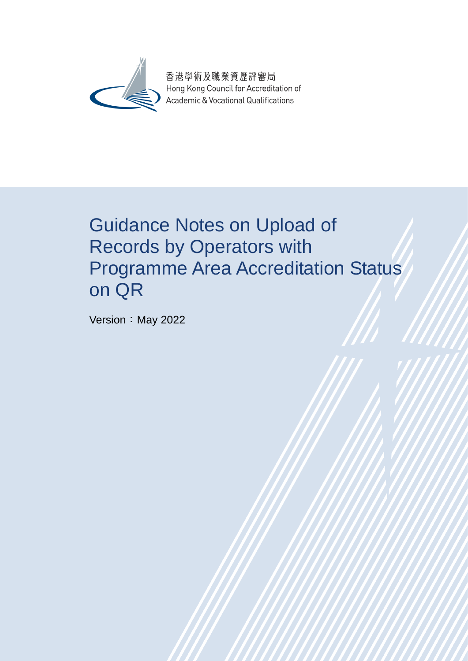

香港學術及職業資歷評審局 Hong Kong Council for Accreditation of Academic & Vocational Qualifications

# Guidance Notes on Upload of Records by Operators with Programme Area Accreditation Status on QR

Version: May 2022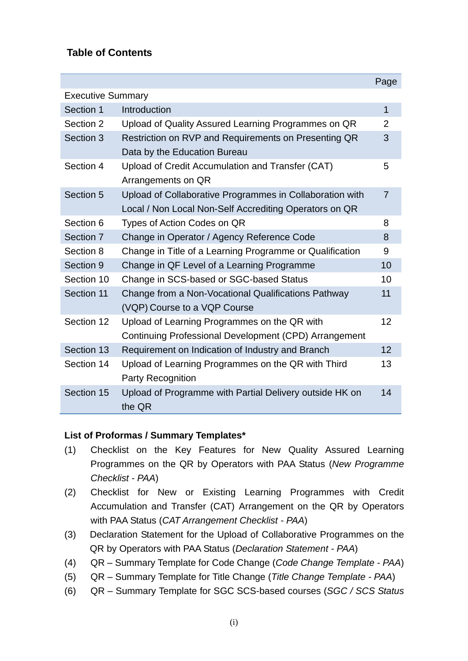#### **Table of Contents**

|                          |                                                          | Page           |
|--------------------------|----------------------------------------------------------|----------------|
| <b>Executive Summary</b> |                                                          |                |
| Section 1                | Introduction                                             | 1              |
| Section 2                | Upload of Quality Assured Learning Programmes on QR      | $\overline{2}$ |
| Section 3                | Restriction on RVP and Requirements on Presenting QR     | 3              |
|                          | Data by the Education Bureau                             |                |
| Section 4                | Upload of Credit Accumulation and Transfer (CAT)         | 5              |
|                          | Arrangements on QR                                       |                |
| Section 5                | Upload of Collaborative Programmes in Collaboration with | $\overline{7}$ |
|                          | Local / Non Local Non-Self Accrediting Operators on QR   |                |
| Section 6                | Types of Action Codes on QR                              | 8              |
| Section 7                | Change in Operator / Agency Reference Code               | 8              |
| Section 8                | Change in Title of a Learning Programme or Qualification | 9              |
| Section 9                | Change in QF Level of a Learning Programme               | 10             |
| Section 10               | Change in SCS-based or SGC-based Status                  | 10             |
| Section 11               | Change from a Non-Vocational Qualifications Pathway      | 11             |
|                          | (VQP) Course to a VQP Course                             |                |
| Section 12               | Upload of Learning Programmes on the QR with             | 12             |
|                          | Continuing Professional Development (CPD) Arrangement    |                |
| Section 13               | Requirement on Indication of Industry and Branch         | 12             |
| Section 14               | Upload of Learning Programmes on the QR with Third       | 13             |
|                          | <b>Party Recognition</b>                                 |                |
| Section 15               | Upload of Programme with Partial Delivery outside HK on  | 14             |
|                          | the QR                                                   |                |

#### **List of Proformas / Summary Templates\***

- (1) Checklist on the Key Features for New Quality Assured Learning Programmes on the QR by Operators with PAA Status (*New Programme Checklist - PAA*)
- (2) Checklist for New or Existing Learning Programmes with Credit Accumulation and Transfer (CAT) Arrangement on the QR by Operators with PAA Status (*CAT Arrangement Checklist - PAA*)
- (3) Declaration Statement for the Upload of Collaborative Programmes on the QR by Operators with PAA Status (*Declaration Statement - PAA*)
- (4) QR Summary Template for Code Change (*Code Change Template - PAA*)
- (5) QR Summary Template for Title Change (*Title Change Template - PAA*)
- (6) QR Summary Template for SGC SCS-based courses (*SGC / SCS Status*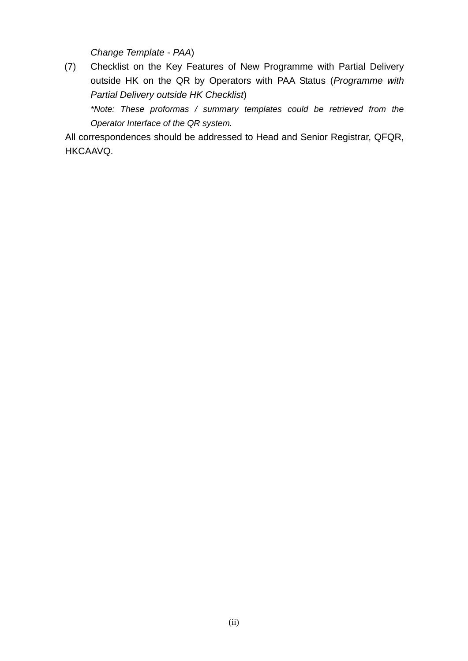*Change Template - PAA*)

(7) Checklist on the Key Features of New Programme with Partial Delivery outside HK on the QR by Operators with PAA Status (*Programme with Partial Delivery outside HK Checklist*)

*\*Note: These proformas / summary templates could be retrieved from the Operator Interface of the QR system.*

All correspondences should be addressed to Head and Senior Registrar, QFQR, HKCAAVQ.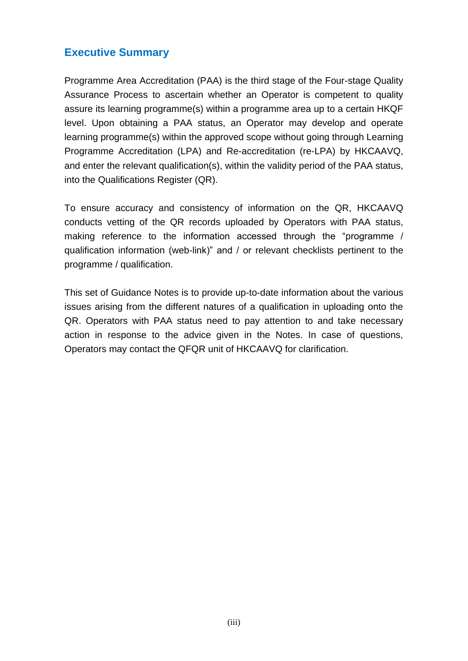#### **Executive Summary**

Programme Area Accreditation (PAA) is the third stage of the Four-stage Quality Assurance Process to ascertain whether an Operator is competent to quality assure its learning programme(s) within a programme area up to a certain HKQF level. Upon obtaining a PAA status, an Operator may develop and operate learning programme(s) within the approved scope without going through Learning Programme Accreditation (LPA) and Re-accreditation (re-LPA) by HKCAAVQ, and enter the relevant qualification(s), within the validity period of the PAA status, into the Qualifications Register (QR).

To ensure accuracy and consistency of information on the QR, HKCAAVQ conducts vetting of the QR records uploaded by Operators with PAA status, making reference to the information accessed through the "programme / qualification information (web-link)" and / or relevant checklists pertinent to the programme / qualification.

This set of Guidance Notes is to provide up-to-date information about the various issues arising from the different natures of a qualification in uploading onto the QR. Operators with PAA status need to pay attention to and take necessary action in response to the advice given in the Notes. In case of questions, Operators may contact the QFQR unit of HKCAAVQ for clarification.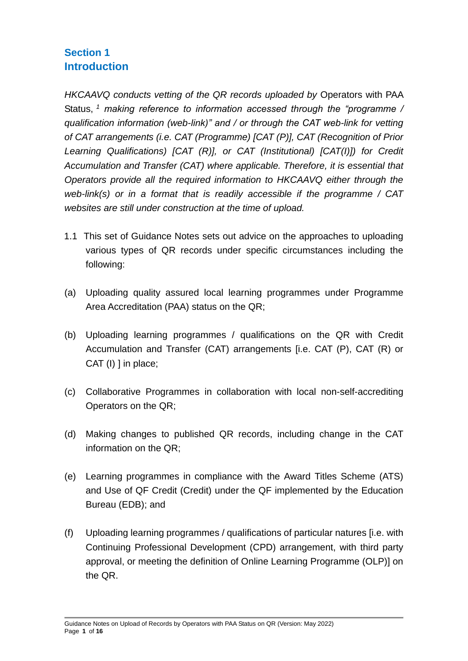# **Section 1 Introduction**

*HKCAAVQ conducts vetting of the QR records uploaded by* Operators with PAA Status, *<sup>1</sup> making reference to information accessed through the "programme / qualification information (web-link)" and / or through the CAT web-link for vetting of CAT arrangements (i.e. CAT (Programme) [CAT (P)], CAT (Recognition of Prior Learning Qualifications) [CAT (R)], or CAT (Institutional) [CAT(I)]) for Credit Accumulation and Transfer (CAT) where applicable. Therefore, it is essential that Operators provide all the required information to HKCAAVQ either through the web-link(s) or in a format that is readily accessible if the programme / CAT websites are still under construction at the time of upload.* 

- 1.1 This set of Guidance Notes sets out advice on the approaches to uploading various types of QR records under specific circumstances including the following:
- (a) Uploading quality assured local learning programmes under Programme Area Accreditation (PAA) status on the QR;
- (b) Uploading learning programmes / qualifications on the QR with Credit Accumulation and Transfer (CAT) arrangements [i.e. CAT (P), CAT (R) or CAT (I) ] in place;
- (c) Collaborative Programmes in collaboration with local non-self-accrediting Operators on the QR;
- (d) Making changes to published QR records, including change in the CAT information on the QR;
- (e) Learning programmes in compliance with the Award Titles Scheme (ATS) and Use of QF Credit (Credit) under the QF implemented by the Education Bureau (EDB); and
- (f) Uploading learning programmes / qualifications of particular natures [i.e. with Continuing Professional Development (CPD) arrangement, with third party approval, or meeting the definition of Online Learning Programme (OLP)] on the QR.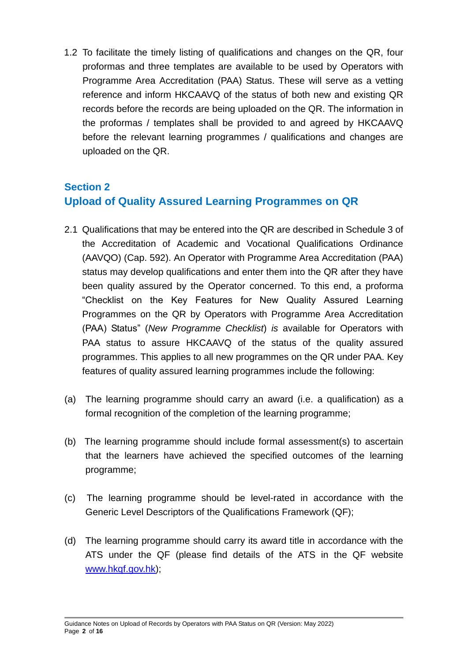1.2 To facilitate the timely listing of qualifications and changes on the QR, four proformas and three templates are available to be used by Operators with Programme Area Accreditation (PAA) Status. These will serve as a vetting reference and inform HKCAAVQ of the status of both new and existing QR records before the records are being uploaded on the QR. The information in the proformas / templates shall be provided to and agreed by HKCAAVQ before the relevant learning programmes / qualifications and changes are uploaded on the QR.

# **Section 2 Upload of Quality Assured Learning Programmes on QR**

- 2.1 Qualifications that may be entered into the QR are described in Schedule 3 of the Accreditation of Academic and Vocational Qualifications Ordinance (AAVQO) (Cap. 592). An Operator with Programme Area Accreditation (PAA) status may develop qualifications and enter them into the QR after they have been quality assured by the Operator concerned. To this end, a proforma "Checklist on the Key Features for New Quality Assured Learning Programmes on the QR by Operators with Programme Area Accreditation (PAA) Status" (*New Programme Checklist*) *is* available for Operators with PAA status to assure HKCAAVQ of the status of the quality assured programmes. This applies to all new programmes on the QR under PAA. Key features of quality assured learning programmes include the following:
- (a) The learning programme should carry an award (i.e. a qualification) as a formal recognition of the completion of the learning programme;
- (b) The learning programme should include formal assessment(s) to ascertain that the learners have achieved the specified outcomes of the learning programme;
- (c) The learning programme should be level-rated in accordance with the Generic Level Descriptors of the Qualifications Framework (QF);
- (d) The learning programme should carry its award title in accordance with the ATS under the QF (please find details of the ATS in the QF website [www.hkqf.gov.hk\)](http://www.hkqf.gov.hk/);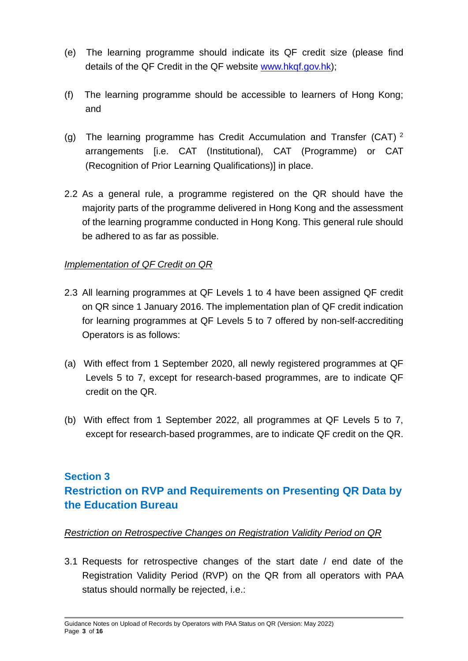- (e) The learning programme should indicate its QF credit size (please find details of the QF Credit in the QF website [www.hkqf.gov.hk\)](http://www.hkqf.gov.hk/);
- (f) The learning programme should be accessible to learners of Hong Kong; and
- (g) The learning programme has Credit Accumulation and Transfer (CAT)  $^2$ arrangements [i.e. CAT (Institutional), CAT (Programme) or CAT (Recognition of Prior Learning Qualifications)] in place.
- 2.2 As a general rule, a programme registered on the QR should have the majority parts of the programme delivered in Hong Kong and the assessment of the learning programme conducted in Hong Kong. This general rule should be adhered to as far as possible.

#### *Implementation of QF Credit on QR*

- 2.3 All learning programmes at QF Levels 1 to 4 have been assigned QF credit on QR since 1 January 2016. The implementation plan of QF credit indication for learning programmes at QF Levels 5 to 7 offered by non-self-accrediting Operators is as follows:
- (a) With effect from 1 September 2020, all newly registered programmes at QF Levels 5 to 7, except for research-based programmes, are to indicate QF credit on the QR.
- (b) With effect from 1 September 2022, all programmes at QF Levels 5 to 7, except for research-based programmes, are to indicate QF credit on the QR.

# **Section 3 Restriction on RVP and Requirements on Presenting QR Data by the Education Bureau**

#### *Restriction on Retrospective Changes on Registration Validity Period on QR*

3.1 Requests for retrospective changes of the start date / end date of the Registration Validity Period (RVP) on the QR from all operators with PAA status should normally be rejected, i.e.: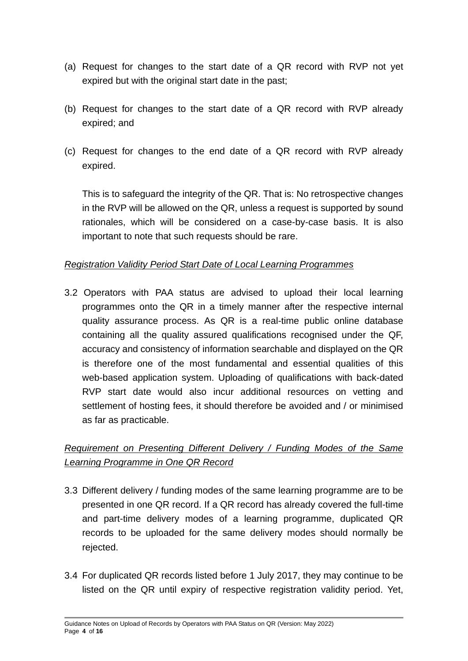- (a) Request for changes to the start date of a QR record with RVP not yet expired but with the original start date in the past;
- (b) Request for changes to the start date of a QR record with RVP already expired; and
- (c) Request for changes to the end date of a QR record with RVP already expired.

This is to safeguard the integrity of the QR. That is: No retrospective changes in the RVP will be allowed on the QR, unless a request is supported by sound rationales, which will be considered on a case-by-case basis. It is also important to note that such requests should be rare.

#### *Registration Validity Period Start Date of Local Learning Programmes*

3.2 Operators with PAA status are advised to upload their local learning programmes onto the QR in a timely manner after the respective internal quality assurance process. As QR is a real-time public online database containing all the quality assured qualifications recognised under the QF, accuracy and consistency of information searchable and displayed on the QR is therefore one of the most fundamental and essential qualities of this web-based application system. Uploading of qualifications with back-dated RVP start date would also incur additional resources on vetting and settlement of hosting fees, it should therefore be avoided and / or minimised as far as practicable.

#### *Requirement on Presenting Different Delivery / Funding Modes of the Same Learning Programme in One QR Record*

- 3.3 Different delivery / funding modes of the same learning programme are to be presented in one QR record. If a QR record has already covered the full-time and part-time delivery modes of a learning programme, duplicated QR records to be uploaded for the same delivery modes should normally be rejected.
- 3.4 For duplicated QR records listed before 1 July 2017, they may continue to be listed on the QR until expiry of respective registration validity period. Yet,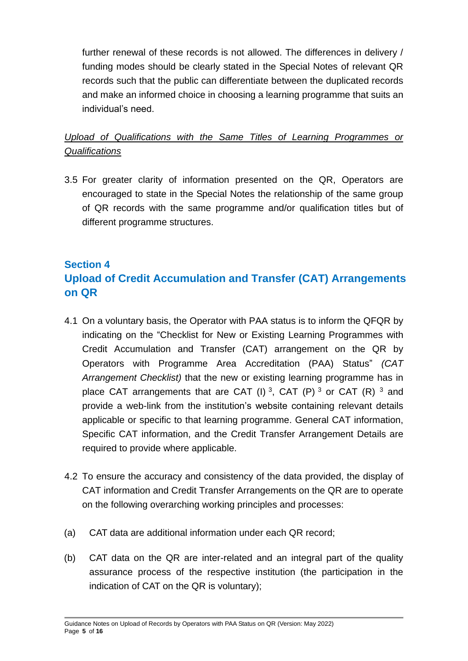further renewal of these records is not allowed. The differences in delivery / funding modes should be clearly stated in the Special Notes of relevant QR records such that the public can differentiate between the duplicated records and make an informed choice in choosing a learning programme that suits an individual's need.

#### *Upload of Qualifications with the Same Titles of Learning Programmes or Qualifications*

3.5 For greater clarity of information presented on the QR, Operators are encouraged to state in the Special Notes the relationship of the same group of QR records with the same programme and/or qualification titles but of different programme structures.

# **Section 4 Upload of Credit Accumulation and Transfer (CAT) Arrangements on QR**

- 4.1 On a voluntary basis, the Operator with PAA status is to inform the QFQR by indicating on the "Checklist for New or Existing Learning Programmes with Credit Accumulation and Transfer (CAT) arrangement on the QR by Operators with Programme Area Accreditation (PAA) Status" *(CAT Arrangement Checklist)* that the new or existing learning programme has in place CAT arrangements that are CAT (I)<sup>3</sup>, CAT (P)<sup>3</sup> or CAT (R)<sup>3</sup> and provide a web-link from the institution's website containing relevant details applicable or specific to that learning programme. General CAT information, Specific CAT information, and the Credit Transfer Arrangement Details are required to provide where applicable.
- 4.2 To ensure the accuracy and consistency of the data provided, the display of CAT information and Credit Transfer Arrangements on the QR are to operate on the following overarching working principles and processes:
- (a) CAT data are additional information under each QR record;
- (b) CAT data on the QR are inter-related and an integral part of the quality assurance process of the respective institution (the participation in the indication of CAT on the QR is voluntary);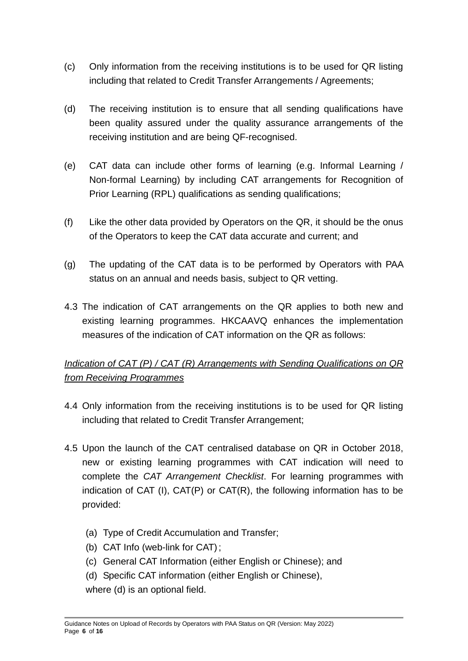- (c) Only information from the receiving institutions is to be used for QR listing including that related to Credit Transfer Arrangements / Agreements;
- (d) The receiving institution is to ensure that all sending qualifications have been quality assured under the quality assurance arrangements of the receiving institution and are being QF-recognised.
- (e) CAT data can include other forms of learning (e.g. Informal Learning / Non-formal Learning) by including CAT arrangements for Recognition of Prior Learning (RPL) qualifications as sending qualifications;
- (f) Like the other data provided by Operators on the QR, it should be the onus of the Operators to keep the CAT data accurate and current; and
- (g) The updating of the CAT data is to be performed by Operators with PAA status on an annual and needs basis, subject to QR vetting.
- 4.3 The indication of CAT arrangements on the QR applies to both new and existing learning programmes. HKCAAVQ enhances the implementation measures of the indication of CAT information on the QR as follows:

#### *Indication of CAT (P) / CAT (R) Arrangements with Sending Qualifications on QR from Receiving Programmes*

- 4.4 Only information from the receiving institutions is to be used for QR listing including that related to Credit Transfer Arrangement;
- 4.5 Upon the launch of the CAT centralised database on QR in October 2018, new or existing learning programmes with CAT indication will need to complete the *CAT Arrangement Checklist*. For learning programmes with indication of CAT (I), CAT(P) or CAT(R), the following information has to be provided:
	- (a) Type of Credit Accumulation and Transfer;
	- (b) CAT Info (web-link for CAT);
	- (c) General CAT Information (either English or Chinese); and
	- (d) Specific CAT information (either English or Chinese),
	- where (d) is an optional field.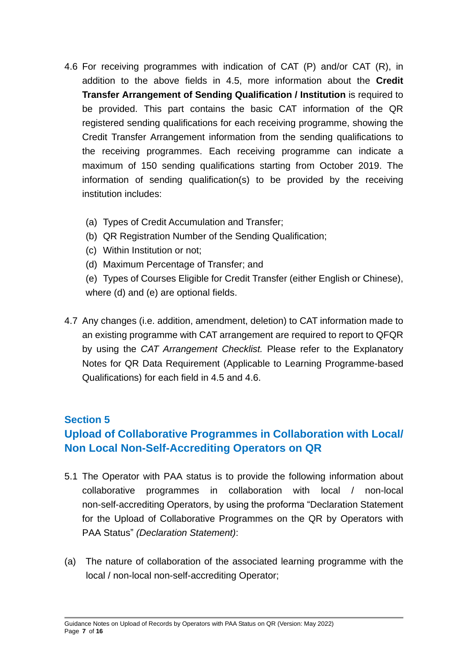- 4.6 For receiving programmes with indication of CAT (P) and/or CAT (R), in addition to the above fields in 4.5, more information about the **Credit Transfer Arrangement of Sending Qualification / Institution** is required to be provided. This part contains the basic CAT information of the QR registered sending qualifications for each receiving programme, showing the Credit Transfer Arrangement information from the sending qualifications to the receiving programmes. Each receiving programme can indicate a maximum of 150 sending qualifications starting from October 2019. The information of sending qualification(s) to be provided by the receiving institution includes:
	- (a) Types of Credit Accumulation and Transfer;
	- (b) QR Registration Number of the Sending Qualification;
	- (c) Within Institution or not;
	- (d) Maximum Percentage of Transfer; and
	- (e) Types of Courses Eligible for Credit Transfer (either English or Chinese), where (d) and (e) are optional fields.
- 4.7 Any changes (i.e. addition, amendment, deletion) to CAT information made to an existing programme with CAT arrangement are required to report to QFQR by using the *CAT Arrangement Checklist.* Please refer to the Explanatory Notes for QR Data Requirement (Applicable to Learning Programme-based Qualifications) for each field in 4.5 and 4.6.

#### **Section 5**

# **Upload of Collaborative Programmes in Collaboration with Local/ Non Local Non-Self-Accrediting Operators on QR**

- 5.1 The Operator with PAA status is to provide the following information about collaborative programmes in collaboration with local / non-local non-self-accrediting Operators, by using the proforma "Declaration Statement for the Upload of Collaborative Programmes on the QR by Operators with PAA Status" *(Declaration Statement)*:
- (a) The nature of collaboration of the associated learning programme with the local / non-local non-self-accrediting Operator;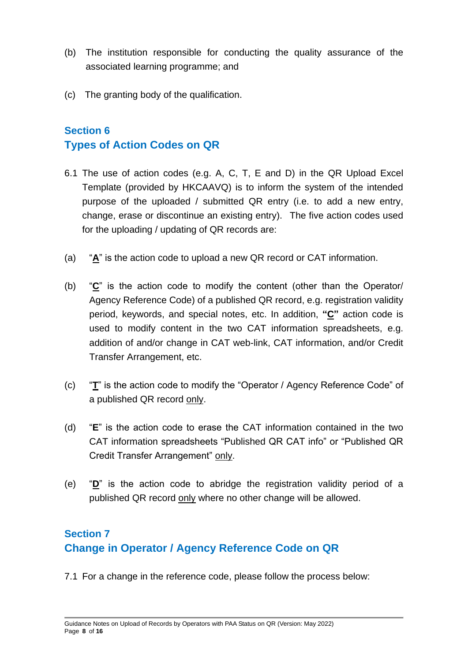- (b) The institution responsible for conducting the quality assurance of the associated learning programme; and
- (c) The granting body of the qualification.

#### **Section 6 Types of Action Codes on QR**

- 6.1 The use of action codes (e.g. A, C, T, E and D) in the QR Upload Excel Template (provided by HKCAAVQ) is to inform the system of the intended purpose of the uploaded / submitted QR entry (i.e. to add a new entry, change, erase or discontinue an existing entry). The five action codes used for the uploading / updating of QR records are:
- (a) "**A**" is the action code to upload a new QR record or CAT information.
- (b) "**C**" is the action code to modify the content (other than the Operator/ Agency Reference Code) of a published QR record, e.g. registration validity period, keywords, and special notes, etc. In addition, **"C"** action code is used to modify content in the two CAT information spreadsheets, e.g. addition of and/or change in CAT web-link, CAT information, and/or Credit Transfer Arrangement, etc.
- (c) "**T**" is the action code to modify the "Operator / Agency Reference Code" of a published QR record only.
- (d) "**E**" is the action code to erase the CAT information contained in the two CAT information spreadsheets "Published QR CAT info" or "Published QR Credit Transfer Arrangement" only.
- (e) "**D**" is the action code to abridge the registration validity period of a published QR record only where no other change will be allowed.

# **Section 7 Change in Operator / Agency Reference Code on QR**

7.1 For a change in the reference code, please follow the process below: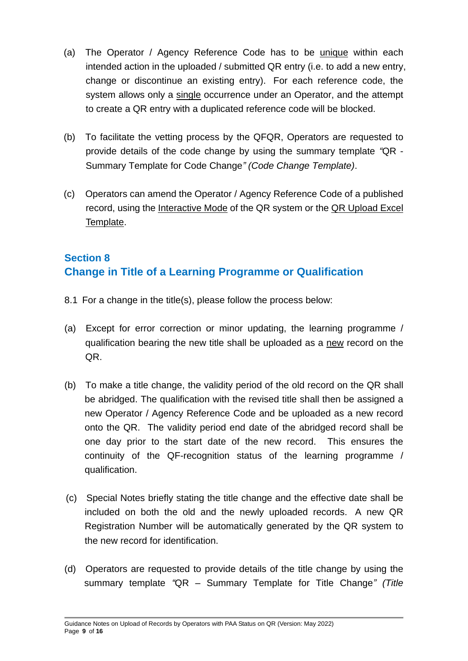- (a) The Operator / Agency Reference Code has to be unique within each intended action in the uploaded / submitted QR entry (i.e. to add a new entry, change or discontinue an existing entry). For each reference code, the system allows only a single occurrence under an Operator, and the attempt to create a QR entry with a duplicated reference code will be blocked.
- (b) To facilitate the vetting process by the QFQR, Operators are requested to provide details of the code change by using the summary template *"*QR - Summary Template for Code Change*" (Code Change Template)*.
- (c) Operators can amend the Operator / Agency Reference Code of a published record, using the Interactive Mode of the QR system or the QR Upload Excel Template.

# **Section 8 Change in Title of a Learning Programme or Qualification**

- 8.1 For a change in the title(s), please follow the process below:
- (a) Except for error correction or minor updating, the learning programme / qualification bearing the new title shall be uploaded as a new record on the QR.
- (b) To make a title change, the validity period of the old record on the QR shall be abridged. The qualification with the revised title shall then be assigned a new Operator / Agency Reference Code and be uploaded as a new record onto the QR. The validity period end date of the abridged record shall be one day prior to the start date of the new record. This ensures the continuity of the QF-recognition status of the learning programme / qualification.
- (c) Special Notes briefly stating the title change and the effective date shall be included on both the old and the newly uploaded records. A new QR Registration Number will be automatically generated by the QR system to the new record for identification.
- (d) Operators are requested to provide details of the title change by using the summary template *"*QR – Summary Template for Title Change*" (Title*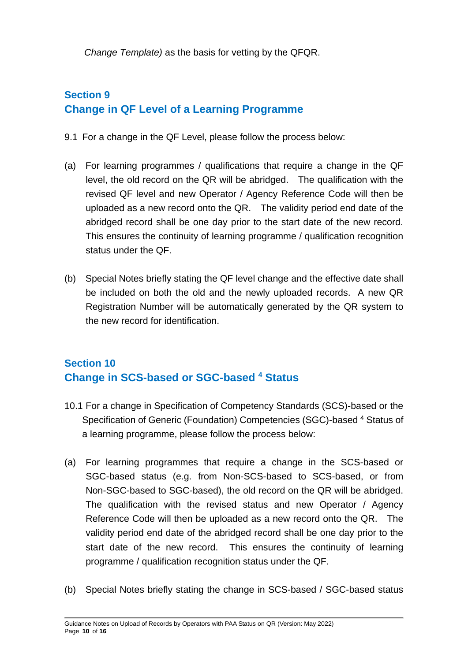*Change Template)* as the basis for vetting by the QFQR.

# **Section 9 Change in QF Level of a Learning Programme**

- 9.1 For a change in the QF Level, please follow the process below:
- (a) For learning programmes / qualifications that require a change in the QF level, the old record on the QR will be abridged. The qualification with the revised QF level and new Operator / Agency Reference Code will then be uploaded as a new record onto the QR. The validity period end date of the abridged record shall be one day prior to the start date of the new record. This ensures the continuity of learning programme / qualification recognition status under the QF.
- (b) Special Notes briefly stating the QF level change and the effective date shall be included on both the old and the newly uploaded records. A new QR Registration Number will be automatically generated by the QR system to the new record for identification.

# **Section 10 Change in SCS-based or SGC-based <sup>4</sup> Status**

- 10.1 For a change in Specification of Competency Standards (SCS)-based or the Specification of Generic (Foundation) Competencies (SGC)-based <sup>4</sup> Status of a learning programme, please follow the process below:
- (a) For learning programmes that require a change in the SCS-based or SGC-based status (e.g. from Non-SCS-based to SCS-based, or from Non-SGC-based to SGC-based), the old record on the QR will be abridged. The qualification with the revised status and new Operator / Agency Reference Code will then be uploaded as a new record onto the QR. The validity period end date of the abridged record shall be one day prior to the start date of the new record. This ensures the continuity of learning programme / qualification recognition status under the QF.
- (b) Special Notes briefly stating the change in SCS-based / SGC-based status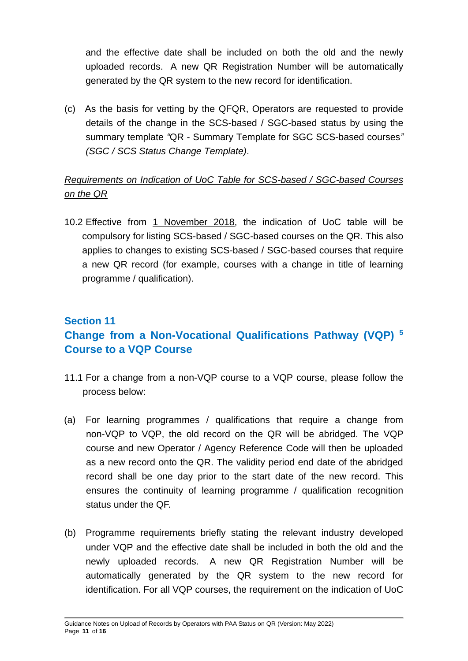and the effective date shall be included on both the old and the newly uploaded records. A new QR Registration Number will be automatically generated by the QR system to the new record for identification.

(c) As the basis for vetting by the QFQR, Operators are requested to provide details of the change in the SCS-based / SGC-based status by using the summary template *"*QR - Summary Template for SGC SCS-based courses*" (SGC / SCS Status Change Template)*.

#### *Requirements on Indication of UoC Table for SCS-based / SGC-based Courses on the QR*

10.2 Effective from 1 November 2018, the indication of UoC table will be compulsory for listing SCS-based / SGC-based courses on the QR. This also applies to changes to existing SCS-based / SGC-based courses that require a new QR record (for example, courses with a change in title of learning programme / qualification).

## **Section 11 Change from a Non-Vocational Qualifications Pathway (VQP) <sup>5</sup> Course to a VQP Course**

- 11.1 For a change from a non-VQP course to a VQP course, please follow the process below:
- (a) For learning programmes / qualifications that require a change from non-VQP to VQP, the old record on the QR will be abridged. The VQP course and new Operator / Agency Reference Code will then be uploaded as a new record onto the QR. The validity period end date of the abridged record shall be one day prior to the start date of the new record. This ensures the continuity of learning programme / qualification recognition status under the QF.
- (b) Programme requirements briefly stating the relevant industry developed under VQP and the effective date shall be included in both the old and the newly uploaded records. A new QR Registration Number will be automatically generated by the QR system to the new record for identification. For all VQP courses, the requirement on the indication of UoC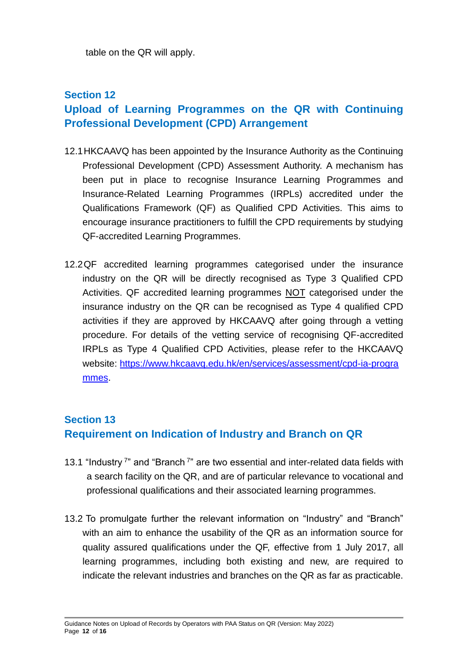table on the QR will apply.

#### **Section 12**

# **Upload of Learning Programmes on the QR with Continuing Professional Development (CPD) Arrangement**

- 12.1HKCAAVQ has been appointed by the Insurance Authority as the Continuing Professional Development (CPD) Assessment Authority. A mechanism has been put in place to recognise Insurance Learning Programmes and Insurance-Related Learning Programmes (IRPLs) accredited under the Qualifications Framework (QF) as Qualified CPD Activities. This aims to encourage insurance practitioners to fulfill the CPD requirements by studying QF-accredited Learning Programmes.
- 12.2QF accredited learning programmes categorised under the insurance industry on the QR will be directly recognised as Type 3 Qualified CPD Activities. QF accredited learning programmes NOT categorised under the insurance industry on the QR can be recognised as Type 4 qualified CPD activities if they are approved by HKCAAVQ after going through a vetting procedure. For details of the vetting service of recognising QF-accredited IRPLs as Type 4 Qualified CPD Activities, please refer to the HKCAAVQ website: [https://www.hkcaavq.edu.hk/en/services/assessment/cpd-ia-progra](https://www.hkcaavq.edu.hk/en/services/assessment/cpd-ia-programmes) [mmes.](https://www.hkcaavq.edu.hk/en/services/assessment/cpd-ia-programmes)

#### **Section 13 Requirement on Indication of Industry and Branch on QR**

- 13.1 "Industry<sup>7</sup>" and "Branch<sup>7</sup>" are two essential and inter-related data fields with a search facility on the QR, and are of particular relevance to vocational and professional qualifications and their associated learning programmes.
- 13.2 To promulgate further the relevant information on "Industry" and "Branch" with an aim to enhance the usability of the QR as an information source for quality assured qualifications under the QF, effective from 1 July 2017, all learning programmes, including both existing and new, are required to indicate the relevant industries and branches on the QR as far as practicable.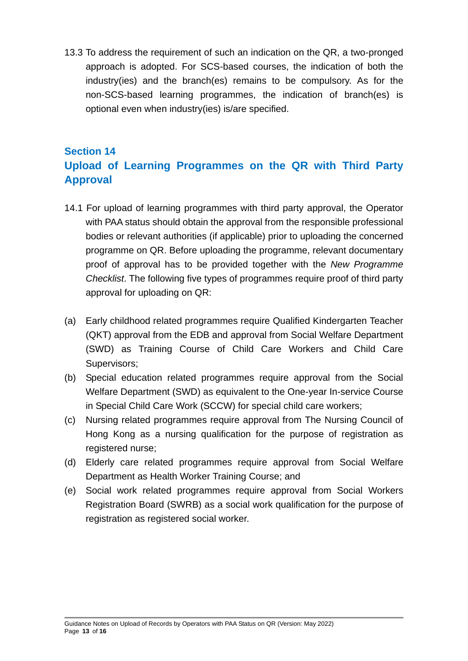13.3 To address the requirement of such an indication on the QR, a two-pronged approach is adopted. For SCS-based courses, the indication of both the industry(ies) and the branch(es) remains to be compulsory. As for the non-SCS-based learning programmes, the indication of branch(es) is optional even when industry(ies) is/are specified.

# **Section 14 Upload of Learning Programmes on the QR with Third Party Approval**

- 14.1 For upload of learning programmes with third party approval, the Operator with PAA status should obtain the approval from the responsible professional bodies or relevant authorities (if applicable) prior to uploading the concerned programme on QR. Before uploading the programme, relevant documentary proof of approval has to be provided together with the *New Programme Checklist*. The following five types of programmes require proof of third party approval for uploading on QR:
- (a) Early childhood related programmes require Qualified Kindergarten Teacher (QKT) approval from the EDB and approval from Social Welfare Department (SWD) as Training Course of Child Care Workers and Child Care Supervisors;
- (b) Special education related programmes require approval from the Social Welfare Department (SWD) as equivalent to the One-year In-service Course in Special Child Care Work (SCCW) for special child care workers;
- (c) Nursing related programmes require approval from The Nursing Council of Hong Kong as a nursing qualification for the purpose of registration as registered nurse;
- (d) Elderly care related programmes require approval from Social Welfare Department as Health Worker Training Course; and
- (e) Social work related programmes require approval from Social Workers Registration Board (SWRB) as a social work qualification for the purpose of registration as registered social worker.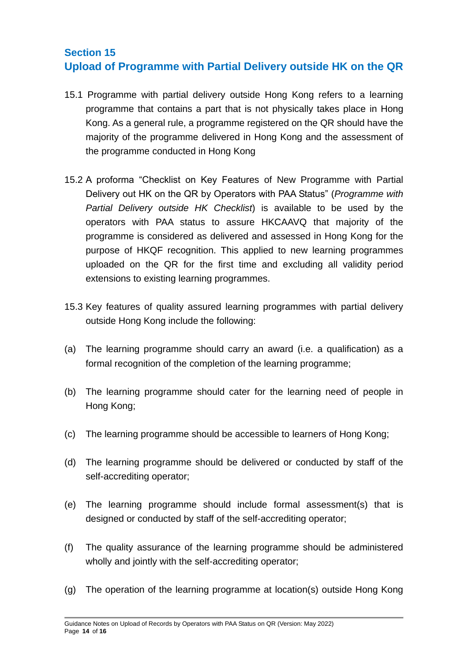## **Section 15 Upload of Programme with Partial Delivery outside HK on the QR**

- 15.1 Programme with partial delivery outside Hong Kong refers to a learning programme that contains a part that is not physically takes place in Hong Kong. As a general rule, a programme registered on the QR should have the majority of the programme delivered in Hong Kong and the assessment of the programme conducted in Hong Kong
- 15.2 A proforma "Checklist on Key Features of New Programme with Partial Delivery out HK on the QR by Operators with PAA Status" (*Programme with Partial Delivery outside HK Checklist*) is available to be used by the operators with PAA status to assure HKCAAVQ that majority of the programme is considered as delivered and assessed in Hong Kong for the purpose of HKQF recognition. This applied to new learning programmes uploaded on the QR for the first time and excluding all validity period extensions to existing learning programmes.
- 15.3 Key features of quality assured learning programmes with partial delivery outside Hong Kong include the following:
- (a) The learning programme should carry an award (i.e. a qualification) as a formal recognition of the completion of the learning programme;
- (b) The learning programme should cater for the learning need of people in Hong Kong;
- (c) The learning programme should be accessible to learners of Hong Kong;
- (d) The learning programme should be delivered or conducted by staff of the self-accrediting operator;
- (e) The learning programme should include formal assessment(s) that is designed or conducted by staff of the self-accrediting operator;
- (f) The quality assurance of the learning programme should be administered wholly and jointly with the self-accrediting operator;
- (g) The operation of the learning programme at location(s) outside Hong Kong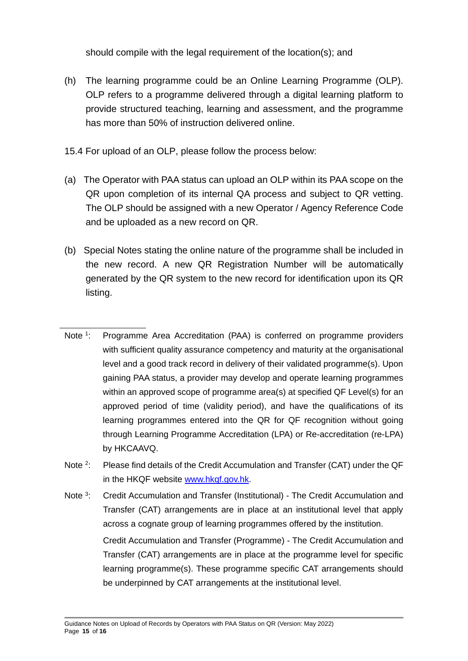should compile with the legal requirement of the location(s); and

- (h) The learning programme could be an Online Learning Programme (OLP). OLP refers to a programme delivered through a digital learning platform to provide structured teaching, learning and assessment, and the programme has more than 50% of instruction delivered online.
- 15.4 For upload of an OLP, please follow the process below:
- (a) The Operator with PAA status can upload an OLP within its PAA scope on the QR upon completion of its internal QA process and subject to QR vetting. The OLP should be assigned with a new Operator / Agency Reference Code and be uploaded as a new record on QR.
- (b) Special Notes stating the online nature of the programme shall be included in the new record. A new QR Registration Number will be automatically generated by the QR system to the new record for identification upon its QR listing.
- Note  $1$ : Programme Area Accreditation (PAA) is conferred on programme providers with sufficient quality assurance competency and maturity at the organisational level and a good track record in delivery of their validated programme(s). Upon gaining PAA status, a provider may develop and operate learning programmes within an approved scope of programme area(s) at specified QF Level(s) for an approved period of time (validity period), and have the qualifications of its learning programmes entered into the QR for QF recognition without going through Learning Programme Accreditation (LPA) or Re-accreditation (re-LPA) by HKCAAVQ.
- Note<sup>2</sup>: : Please find details of the Credit Accumulation and Transfer (CAT) under the QF in the HKQF website [www.hkqf.gov.hk.](http://www.hkqf.gov.hk/)
- Note  $3 -$ : Credit Accumulation and Transfer (Institutional) - The Credit Accumulation and Transfer (CAT) arrangements are in place at an institutional level that apply across a cognate group of learning programmes offered by the institution. Credit Accumulation and Transfer (Programme) - The Credit Accumulation and Transfer (CAT) arrangements are in place at the programme level for specific learning programme(s). These programme specific CAT arrangements should be underpinned by CAT arrangements at the institutional level.